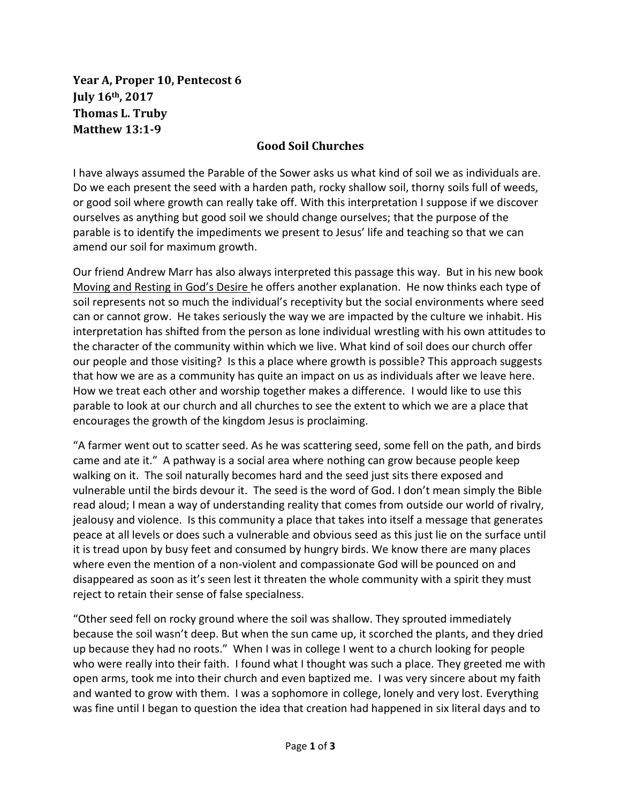**Year A, Proper 10, Pentecost 6 July 16th, 2017 Thomas L. Truby Matthew 13:1-9**

## **Good Soil Churches**

I have always assumed the Parable of the Sower asks us what kind of soil we as individuals are. Do we each present the seed with a harden path, rocky shallow soil, thorny soils full of weeds, or good soil where growth can really take off. With this interpretation I suppose if we discover ourselves as anything but good soil we should change ourselves; that the purpose of the parable is to identify the impediments we present to Jesus' life and teaching so that we can amend our soil for maximum growth.

Our friend Andrew Marr has also always interpreted this passage this way. But in his new book Moving and Resting in God's Desire he offers another explanation. He now thinks each type of soil represents not so much the individual's receptivity but the social environments where seed can or cannot grow. He takes seriously the way we are impacted by the culture we inhabit. His interpretation has shifted from the person as lone individual wrestling with his own attitudes to the character of the community within which we live. What kind of soil does our church offer our people and those visiting? Is this a place where growth is possible? This approach suggests that how we are as a community has quite an impact on us as individuals after we leave here. How we treat each other and worship together makes a difference. I would like to use this parable to look at our church and all churches to see the extent to which we are a place that encourages the growth of the kingdom Jesus is proclaiming.

"A farmer went out to scatter seed. As he was scattering seed, some fell on the path, and birds came and ate it." A pathway is a social area where nothing can grow because people keep walking on it. The soil naturally becomes hard and the seed just sits there exposed and vulnerable until the birds devour it. The seed is the word of God. I don't mean simply the Bible read aloud; I mean a way of understanding reality that comes from outside our world of rivalry, jealousy and violence. Is this community a place that takes into itself a message that generates peace at all levels or does such a vulnerable and obvious seed as this just lie on the surface until it is tread upon by busy feet and consumed by hungry birds. We know there are many places where even the mention of a non-violent and compassionate God will be pounced on and disappeared as soon as it's seen lest it threaten the whole community with a spirit they must reject to retain their sense of false specialness.

"Other seed fell on rocky ground where the soil was shallow. They sprouted immediately because the soil wasn't deep. But when the sun came up, it scorched the plants, and they dried up because they had no roots." When I was in college I went to a church looking for people who were really into their faith. I found what I thought was such a place. They greeted me with open arms, took me into their church and even baptized me. I was very sincere about my faith and wanted to grow with them. I was a sophomore in college, lonely and very lost. Everything was fine until I began to question the idea that creation had happened in six literal days and to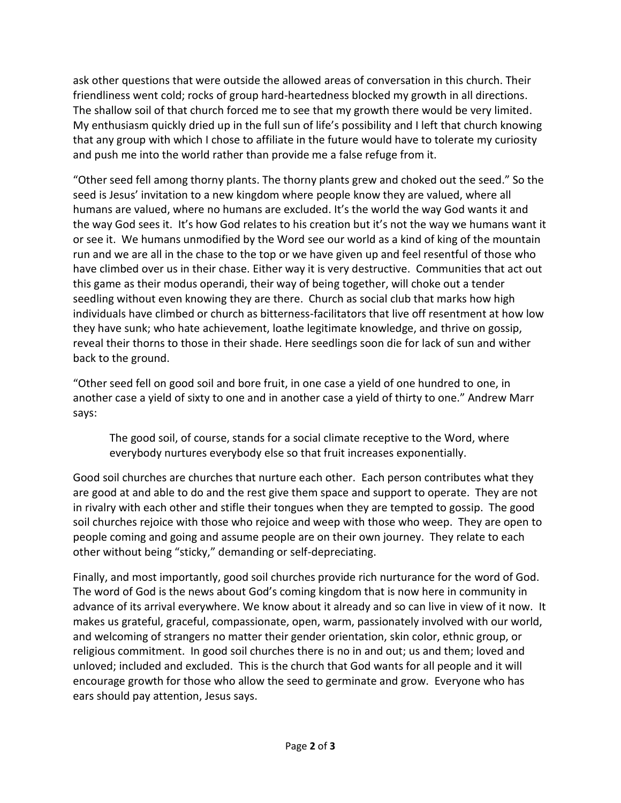ask other questions that were outside the allowed areas of conversation in this church. Their friendliness went cold; rocks of group hard-heartedness blocked my growth in all directions. The shallow soil of that church forced me to see that my growth there would be very limited. My enthusiasm quickly dried up in the full sun of life's possibility and I left that church knowing that any group with which I chose to affiliate in the future would have to tolerate my curiosity and push me into the world rather than provide me a false refuge from it.

"Other seed fell among thorny plants. The thorny plants grew and choked out the seed." So the seed is Jesus' invitation to a new kingdom where people know they are valued, where all humans are valued, where no humans are excluded. It's the world the way God wants it and the way God sees it. It's how God relates to his creation but it's not the way we humans want it or see it. We humans unmodified by the Word see our world as a kind of king of the mountain run and we are all in the chase to the top or we have given up and feel resentful of those who have climbed over us in their chase. Either way it is very destructive. Communities that act out this game as their modus operandi, their way of being together, will choke out a tender seedling without even knowing they are there. Church as social club that marks how high individuals have climbed or church as bitterness-facilitators that live off resentment at how low they have sunk; who hate achievement, loathe legitimate knowledge, and thrive on gossip, reveal their thorns to those in their shade. Here seedlings soon die for lack of sun and wither back to the ground.

"Other seed fell on good soil and bore fruit, in one case a yield of one hundred to one, in another case a yield of sixty to one and in another case a yield of thirty to one." Andrew Marr says:

The good soil, of course, stands for a social climate receptive to the Word, where everybody nurtures everybody else so that fruit increases exponentially.

Good soil churches are churches that nurture each other. Each person contributes what they are good at and able to do and the rest give them space and support to operate. They are not in rivalry with each other and stifle their tongues when they are tempted to gossip. The good soil churches rejoice with those who rejoice and weep with those who weep. They are open to people coming and going and assume people are on their own journey. They relate to each other without being "sticky," demanding or self-depreciating.

Finally, and most importantly, good soil churches provide rich nurturance for the word of God. The word of God is the news about God's coming kingdom that is now here in community in advance of its arrival everywhere. We know about it already and so can live in view of it now. It makes us grateful, graceful, compassionate, open, warm, passionately involved with our world, and welcoming of strangers no matter their gender orientation, skin color, ethnic group, or religious commitment. In good soil churches there is no in and out; us and them; loved and unloved; included and excluded. This is the church that God wants for all people and it will encourage growth for those who allow the seed to germinate and grow. Everyone who has ears should pay attention, Jesus says.